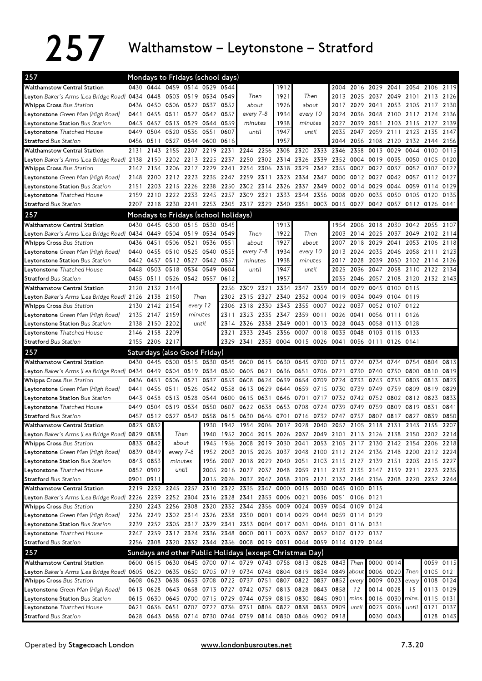## 257 Walthamstow – Leytonstone – Stratford

| 257                                                                                                         |           | Mondays to Fridays (school days)        |                     |                     |                          |                |           |           |                                                   |                                                                                                                                                |      |                |                |      |                        |                |                                    |                        |
|-------------------------------------------------------------------------------------------------------------|-----------|-----------------------------------------|---------------------|---------------------|--------------------------|----------------|-----------|-----------|---------------------------------------------------|------------------------------------------------------------------------------------------------------------------------------------------------|------|----------------|----------------|------|------------------------|----------------|------------------------------------|------------------------|
| <b>Walthamstow Central Station</b>                                                                          |           | 0430 0444 0459 0514 0529 0544           |                     |                     |                          |                |           |           | 1912                                              |                                                                                                                                                |      |                |                |      |                        |                | 2004 2016 2029 2041 2054 2106 2119 |                        |
| Leyton Baker's Arms (Lea Bridge Road) 0434                                                                  |           | 0448                                    |                     | 0503 0519 0534 0549 |                          |                | Then      |           | 1921                                              | Then                                                                                                                                           |      | 2013           | 2025           |      |                        |                | 2037 2049 2101 2113 2126           |                        |
| <b>Whipps Cross Bus Station</b>                                                                             | 0436      | 0450                                    |                     | 0506 0522 0537      |                          | 0552           | about     |           | 1926                                              | about                                                                                                                                          |      | 2017           | 2029           | 2041 | 2053                   | 2105           | 2117                               | 2130                   |
| <b>Leytonstone</b> Green Man (High Road)                                                                    | 0441      |                                         |                     |                     | 0455 0511 0527 0542 0557 |                | every 7-8 |           | 1934                                              | every 10                                                                                                                                       |      | 2024           | 2036           |      |                        |                | 2048 2100 2112 2124                | 2136                   |
| <b>Leytonstone Station</b> Bus Station                                                                      | 0443      | 0457                                    | 0513 0529           |                     | 0544                     | 0559           | minutes   |           | 1938                                              | minutes                                                                                                                                        |      | 2027           | 2039           | 2051 | 2103                   | 2115           | 2127                               | 2139                   |
| <b>Leytonstone</b> Thatched House                                                                           | 0449      | 0504                                    | 0520                | 0536                | 0551                     | 0607           | until     |           | 1947                                              | until                                                                                                                                          |      | 2035           | 2047           | 2059 | 2111                   | 2123           | 2135                               | 2147                   |
| <b>Stratford Bus Station</b>                                                                                | 0456      | 0511                                    |                     | 0527 0544 0600      |                          | 0616           |           |           | 1957                                              |                                                                                                                                                |      | 2044           | 2056           | 2108 | 2120                   |                | 2132 2144 2156                     |                        |
| <b>Walthamstow Central Station</b>                                                                          | 2131      | 2143                                    | 2155                | 2207                |                          |                |           |           |                                                   | 2219 2231 2244 2256 2308 2320 2333 2346                                                                                                        |      |                | 2358           | 0013 | 0029                   | 0044           | 0100                               | 0115                   |
| L <b>eyton</b> Baker's Arms (Lea Bridge Road) 2138                                                          |           | 2150                                    | 2202 2213           |                     | 2225                     | 2237           |           |           | 2250 2302 2314 2326                               |                                                                                                                                                | 2339 | 2352           | 0004           | 0019 | 0035                   | 0050           | 0105                               | 0120                   |
| <b>Whipps Cross</b> Bus Station                                                                             | 2142      | 2154                                    | 2206                | 2217                | 2229                     | 2241           | 2254      | 2306      | 2318                                              | 2329                                                                                                                                           | 2342 | 2355           | 0007           | 0022 | 0037                   | 0052           | 0107                               | 0122                   |
| <b>Leytonstone</b> Green Man (High Road)                                                                    | 2148      | 2200                                    | 2212 2223           |                     | 2235                     | 2247           | 2259      | 2311      | 2323                                              | 2334                                                                                                                                           | 2347 | 0000           | 0012 0027      |      | 0042                   | 0057           | 0112                               | 0127                   |
| Leytonstone Station Bus Station                                                                             | 2151      | 2203                                    | 2215                | 2226                | 2238                     | 2250           | 2302      | 2314      | 2326                                              | 2337                                                                                                                                           | 2349 | 0002           | 0014           | 0029 | 0044                   | 0059           | 0114                               | 0129                   |
| Leytonstone Thatched House                                                                                  | 2159      | 2210                                    | 2222                | 2233                | 2245                     | 2257           | 2309      | 2321      | 2333                                              | 2344                                                                                                                                           | 2356 | 0008           | 0020           | 0035 | 0050                   | 0105           | 0120                               | 0135                   |
| <b>Stratford Bus Station</b>                                                                                | 2207      |                                         |                     |                     |                          |                |           |           | 2218 2230 2241 2253 2305 2317 2329 2340 2351      |                                                                                                                                                |      | 0003 0015 0027 |                |      |                        |                | 0042 0057 0112 0126 0141           |                        |
| 257                                                                                                         |           | Mondays to Fridays (school holidays)    |                     |                     |                          |                |           |           |                                                   |                                                                                                                                                |      |                |                |      |                        |                |                                    |                        |
| <b>Walthamstow Central Station</b>                                                                          |           | 0430 0445 0500 0515 0530 0545           |                     |                     |                          |                |           |           | 1913                                              |                                                                                                                                                |      | 1954           |                |      |                        |                | 2006 2018 2030 2042 2055 2107      |                        |
| L <b>eyton</b> Baker's Arms (Lea Bridge Road) <b>04</b> 34                                                  |           | 0449                                    | 0504 0519 0534 0549 |                     |                          |                | Then      |           | 1922                                              | Then                                                                                                                                           |      | 2003           | 2014           | 2025 | 2037 2049              |                | 2102                               | 2114                   |
| <b>Whipps Cross Bus Station</b>                                                                             | 0436      | 0451                                    | 0506                | 0521                | 0536                     | 0551<br>about  |           |           | 1927                                              |                                                                                                                                                |      | 2007           | 2018           | 2029 | 2041                   | 2053           | 2106                               | 2118                   |
| <b>Leytonstone</b> Green Man (High Road)                                                                    | 0440      | 0455                                    | 0510 0525           |                     | 0540 0555                |                | every 7-8 |           | 1934                                              | about<br>every 10                                                                                                                              |      | 2013           | 2024           |      | 2035 2046              | 2058           | 2111                               | 2123                   |
| Leytonstone Station Bus Station                                                                             |           | 0442 0457                               | 0512 0527 0542 0557 |                     |                          |                | minutes   |           | 1938                                              | minutes                                                                                                                                        |      | 2017           | 2028           | 2039 | 2050                   | 2102 2114      |                                    | 2126                   |
| Leytonstone Thatched House                                                                                  | 0448      | 0503                                    | 0518                | 0534                | 0549                     | 0604           | until     |           | 1947                                              | until                                                                                                                                          |      | 2025           | 2036           | 2047 | 2058                   | 2110 2122      |                                    | 2134                   |
| <b>Stratford</b> Bus Station                                                                                |           | 0455 0511 0526 0542 0557                |                     |                     |                          | 0612           |           |           | 1957                                              |                                                                                                                                                |      | 2035           | 2046           |      |                        |                | 2057 2108 2120 2132 2143           |                        |
|                                                                                                             | 2120      |                                         |                     |                     |                          | 2256           | 2309      | 2321      | 2334                                              | 2347                                                                                                                                           | 2359 | 0014           | 0029           | 0045 | 0100                   | 0115           |                                    |                        |
| <b>Walthamstow Central Station</b><br>L <b>eyton</b> Baker's Arms (Lea Bridge Road) 2126                    |           | 2132 2144<br>2138 2150                  |                     | Then                |                          | 2302           | 2315      | 2327 2340 |                                                   | 2352                                                                                                                                           | 0004 | 0019           | 0034           | 0049 | 0104 0119              |                |                                    |                        |
| <b>Whipps Cross Bus Station</b>                                                                             | 2130      | 2142 2154                               |                     | every 12            |                          | 2306           | 2318      | 2330      | 2343                                              | 2355                                                                                                                                           | 0007 | 0022           | 0037           | 0052 | 0107 0122              |                |                                    |                        |
| <b>Leytonstone</b> Green Man (High Road)                                                                    | 2135      | 2147 2159                               |                     |                     |                          | 2311           | 2323      | 2335 2347 |                                                   | 2359                                                                                                                                           | 0011 | 0026           | 0041           |      | 0056 0111 0126         |                |                                    |                        |
| Leytonstone Station Bus Station                                                                             | 2138      | 2150 2202                               |                     | minutes<br>until    |                          | 2314           | 2326      |           | 2338 2349                                         | 0001                                                                                                                                           | 0013 | 0028           | 0043           | 0058 | 0113 0128              |                |                                    |                        |
| Leytonstone Thatched House                                                                                  | 2146      | 2158 2209                               |                     |                     |                          | 2321           | 2333      |           | 2345 2356                                         | 0007                                                                                                                                           |      | 0018 0033 0048 |                |      | 0103 0118 0133         |                |                                    |                        |
| <b>Stratford Bus Station</b>                                                                                |           | 2155 2206 2217                          |                     |                     |                          | 2329           | 2341      |           |                                                   | 2353 0004 0015 0026 0041                                                                                                                       |      |                | 0056 0111      |      | 0126 0141              |                |                                    |                        |
|                                                                                                             |           |                                         |                     |                     |                          |                |           |           |                                                   |                                                                                                                                                |      |                |                |      |                        |                |                                    |                        |
| 257                                                                                                         |           | Saturdays (also Good Friday)            |                     |                     |                          |                |           |           |                                                   |                                                                                                                                                |      |                |                |      |                        |                |                                    |                        |
| <b>Walthamstow Central Station</b>                                                                          | 0430      | 0445                                    | 0500                | 0515                | 0530                     |                | 0545 0600 | 0615 0630 |                                                   | 0645                                                                                                                                           | 0700 | 0715 0724      |                | 0734 | 0744                   | 0754           | 0804                               | 0813                   |
| Leyton Baker's Arms (Lea Bridge Road) 0434 0449                                                             |           |                                         |                     |                     |                          |                |           |           |                                                   | 0504 0519 0534 0550 0605 0621 0636 0651 0706                                                                                                   |      | 0721           | 0730           | 0740 | 0750 0800              |                | 0810                               | 0819                   |
| <b>Whipps Cross Bus Station</b>                                                                             | 0436      | 0451                                    | 0506                | 0521                | 0537                     | 0553           | 0608      | 0624      | 0639                                              | 0654                                                                                                                                           | 0709 | 0724           | 0733           | 0743 | 0753                   | 0803           | 0813                               | 0823                   |
| Leytonstone Green Man (High Road)                                                                           | 0441      | 0456                                    | 0511                | 0526                |                          | 0542 0558      | 0613      | 0629      | 0644                                              | 0659                                                                                                                                           | 0715 | 0730           | 0739           | 0749 | 0759                   | 0809           | 0819                               | 0829                   |
| Leytonstone Station Bus Station                                                                             | 0443      | 0458                                    | 0513 0528           |                     |                          | 0544 0600 0615 |           | 0631      | 0646                                              | 0701                                                                                                                                           | 0717 | 0732           | 0742 0752      |      |                        | 0802 0812 0823 |                                    | 0833                   |
| <b>Leytonstone</b> Thatched House                                                                           | 0449      | 0504                                    | 0519                | 0534                | 0550                     | 0607           | 0622 0638 |           | 0653                                              | 0708                                                                                                                                           | 0724 | 0739           | 0749           | 0759 | 0809                   | 0819           | 0831                               | 0841                   |
| <b>Stratford Bus Station</b>                                                                                |           | 0457 0512 0527 0542 0558                |                     |                     |                          | 0615           |           |           | 0630 0646 0701                                    |                                                                                                                                                |      | 0716 0732 0747 | 0757           | 0807 | 0817                   | 0827           | 0839                               | 0850                   |
| <b>Walthamstow Central Station</b>                                                                          |           | 0823 0832                               |                     |                     | 1930                     |                |           |           |                                                   | 1942 1954 2006 2017 2028 2040 2052 2105 2118 2131 2143 2155                                                                                    |      |                |                |      |                        |                |                                    | 2207                   |
| Leyton Baker's Arms (Lea Bridge Road) 0829 0838                                                             |           |                                         | Then                |                     | 1940                     |                |           |           |                                                   | 1952 2004 2015 2026 2037 2049 2101 2113 2126 2138 2150 2202 2214                                                                               |      |                |                |      |                        |                |                                    |                        |
| <b>Whipps Cross Bus Station</b>                                                                             |           | 0833 0842                               | about               |                     |                          | 1945 1956 2008 |           |           |                                                   | 2019 2030 2041 2053 2105 2117 2130 2142 2154 2206 2218                                                                                         |      |                |                |      |                        |                |                                    |                        |
| L <b>eytonstone</b> Green Man (High Road)                                                                   |           | 0839 0849                               | every 7-8           |                     |                          |                |           |           |                                                   | 1952 2003 2015 2026 2037 2048 2100 2112 2124 2136 2148 2200 2212 2224                                                                          |      |                |                |      |                        |                |                                    |                        |
| Leytonstone Station Bus Station                                                                             |           | 0843 0853                               | minutes             |                     |                          |                |           |           |                                                   | 1956 2007 2018 2029 2040 2051 2103 2115 2127 2139 2151 2203 2215 2227                                                                          |      |                |                |      |                        |                |                                    |                        |
| <b>Leytonstone</b> Thatched House                                                                           |           | 0852 0902                               |                     | until               |                          |                |           |           |                                                   | 2005 2016 2027 2037 2048 2059 2111 2123 2135 2147 2159 2211 2223 2235                                                                          |      |                |                |      |                        |                |                                    |                        |
| <b>Stratford Bus Station</b>                                                                                | 0901 0911 | 2219 2232 2245 2257 2310 2322 2335 2347 |                     |                     |                          |                |           |           |                                                   | 2015 2026 2037 2047 2058 2109 2121 2132 2144 2156 2208 2220 2232 2244                                                                          |      |                | 0045 0100 0115 |      |                        |                |                                    |                        |
| <b>Walthamstow Central Station</b>                                                                          |           |                                         |                     |                     |                          |                |           |           | 0000                                              | 0015                                                                                                                                           | 0030 |                |                |      |                        |                |                                    |                        |
| Leyton Baker's Arms (Lea Bridge Road) 2226 2239 2252 2304 2316 2328 2341 2353 0006 0021 0036 0051 0106 0121 |           |                                         |                     |                     |                          |                |           |           |                                                   | 2320 2332 2344 2356 0009 0024 0039 0054 0109 0124                                                                                              |      |                |                |      |                        |                |                                    |                        |
| <b>Whipps Cross Bus Station</b>                                                                             |           | 2230 2243 2256 2308                     |                     |                     |                          |                |           |           |                                                   |                                                                                                                                                |      |                |                |      |                        |                |                                    |                        |
| L <b>eytonstone</b> Green Man (High Road)                                                                   |           |                                         |                     |                     |                          |                |           |           |                                                   | 2236 2249 2302 2314 2326 2338 2350 0001 0014 0029 0044 0059 0114 0129                                                                          |      |                |                |      |                        |                |                                    |                        |
| Leytonstone Station Bus Station                                                                             |           |                                         |                     |                     |                          |                |           |           |                                                   | 2239 2252 2305 2317 2329 2341 2353 0004 0017 0031 0046 0101 0116 0131<br>2247 2259 2312 2324 2336 2348 0000 0011 0023 0037 0052 0107 0122 0137 |      |                |                |      |                        |                |                                    |                        |
| Leytonstone Thatched House                                                                                  |           |                                         |                     |                     |                          |                |           |           |                                                   |                                                                                                                                                |      |                |                |      |                        |                |                                    |                        |
| <b>Stratford Bus Station</b>                                                                                |           |                                         |                     |                     |                          |                |           |           |                                                   | 2256 2308 2320 2332 2344 2356 0008 0019 0031 0044 0059 0114 0129 0144                                                                          |      |                |                |      |                        |                |                                    |                        |
| 257                                                                                                         |           |                                         |                     |                     |                          |                |           |           |                                                   | Sundays and other Public Holidays (except Christmas Day)                                                                                       |      |                |                |      |                        |                |                                    |                        |
| Walthamstow Central Station                                                                                 |           |                                         |                     |                     |                          |                |           |           |                                                   | 0600 0615 0630 0645 0700 0714 0729 0743 0758 0813 0828 0843 Then                                                                               |      |                |                |      | 0000 0014              |                |                                    | 0059 0115              |
| Leyton Baker's Arms (Lea Bridge Road) 0605 0620 0635 0650 0705 0719 0734 0748 0804 0819 0834 0849           |           |                                         |                     |                     |                          |                |           |           |                                                   |                                                                                                                                                |      |                | about          |      | 0006 0020 Then         |                |                                    | 0105 0121              |
| <b>Whipps Cross</b> Bus Station                                                                             |           |                                         |                     |                     |                          |                |           |           |                                                   | 0608 0623 0638 0653 0708 0722 0737 0751 0807 0822 0837 0852                                                                                    |      |                | every          |      | 0009 0023 every        |                |                                    | 0108 0124              |
| <b>Leytonstone</b> Green Man (High Road)                                                                    |           |                                         |                     |                     |                          |                |           |           |                                                   | 0613 0628 0643 0658 0713 0727 0742 0757 0813 0828 0843 0858                                                                                    |      |                | 12             |      | 0014 0028              | 15             |                                    | 0113 0129              |
|                                                                                                             |           |                                         |                     |                     |                          |                |           |           |                                                   |                                                                                                                                                |      |                |                |      |                        |                |                                    |                        |
| Leytonstone Station Bus Station                                                                             |           |                                         |                     |                     |                          |                |           |           |                                                   | 0615 0630 0645 0700 0715 0729 0744 0759 0815 0830 0845 0901                                                                                    |      |                | mins.          |      | 0016 0030 mins.        |                | 0115 0131                          |                        |
| <b>Leytonstone</b> Thatched House<br><b>Stratford Bus Station</b>                                           |           |                                         |                     |                     |                          |                |           |           | 0621 0636 0651 0707 0722 0736 0751 0806 0822 0838 | 0628 0643 0658 0714 0730 0744 0759 0814 0830 0846 0902 0918                                                                                    |      | 0853 0909      | until          |      | 0023 0036<br>0030 0043 | until          |                                    | 0121 0137<br>0128 0143 |